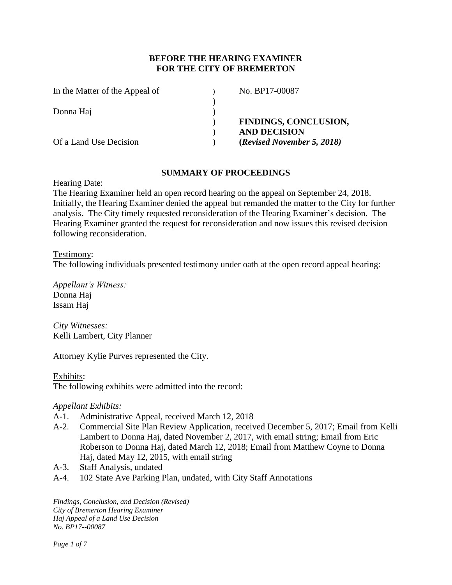## **BEFORE THE HEARING EXAMINER FOR THE CITY OF BREMERTON**

| In the Matter of the Appeal of | No. BP17-00087               |
|--------------------------------|------------------------------|
| Donna Haj                      |                              |
|                                | <b>FINDINGS, CONCLUSION,</b> |
|                                | <b>AND DECISION</b>          |
| Of a Land Use Decision         | (Revised November 5, 2018)   |

### **SUMMARY OF PROCEEDINGS**

Hearing Date:

The Hearing Examiner held an open record hearing on the appeal on September 24, 2018. Initially, the Hearing Examiner denied the appeal but remanded the matter to the City for further analysis. The City timely requested reconsideration of the Hearing Examiner's decision. The Hearing Examiner granted the request for reconsideration and now issues this revised decision following reconsideration.

### Testimony:

The following individuals presented testimony under oath at the open record appeal hearing:

*Appellant's Witness:* Donna Haj Issam Haj

*City Witnesses:* Kelli Lambert, City Planner

Attorney Kylie Purves represented the City.

Exhibits: The following exhibits were admitted into the record:

## *Appellant Exhibits:*

- A-1. Administrative Appeal, received March 12, 2018
- A-2. Commercial Site Plan Review Application, received December 5, 2017; Email from Kelli Lambert to Donna Haj, dated November 2, 2017, with email string; Email from Eric Roberson to Donna Haj, dated March 12, 2018; Email from Matthew Coyne to Donna Haj, dated May 12, 2015, with email string
- A-3. Staff Analysis, undated
- A-4. 102 State Ave Parking Plan, undated, with City Staff Annotations

*Findings, Conclusion, and Decision (Revised) City of Bremerton Hearing Examiner Haj Appeal of a Land Use Decision No. BP17--00087*

*Page 1 of 7*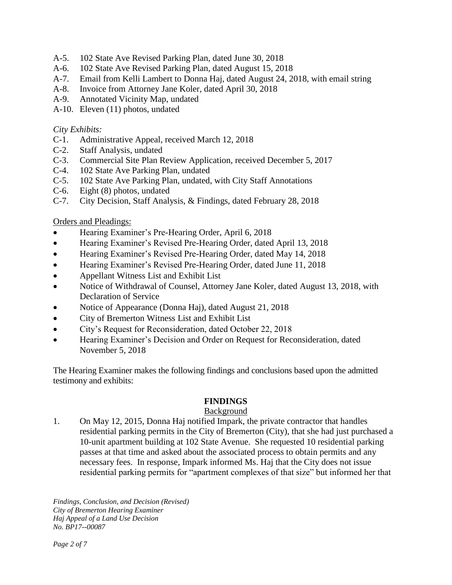- A-5. 102 State Ave Revised Parking Plan, dated June 30, 2018
- A-6. 102 State Ave Revised Parking Plan, dated August 15, 2018
- A-7. Email from Kelli Lambert to Donna Haj, dated August 24, 2018, with email string
- A-8. Invoice from Attorney Jane Koler, dated April 30, 2018
- A-9. Annotated Vicinity Map, undated
- A-10. Eleven (11) photos, undated

## *City Exhibits:*

- C-1. Administrative Appeal, received March 12, 2018
- C-2. Staff Analysis, undated
- C-3. Commercial Site Plan Review Application, received December 5, 2017
- C-4. 102 State Ave Parking Plan, undated
- C-5. 102 State Ave Parking Plan, undated, with City Staff Annotations
- C-6. Eight (8) photos, undated
- C-7. City Decision, Staff Analysis, & Findings, dated February 28, 2018

## Orders and Pleadings:

- Hearing Examiner's Pre-Hearing Order, April 6, 2018
- Hearing Examiner's Revised Pre-Hearing Order, dated April 13, 2018
- Hearing Examiner's Revised Pre-Hearing Order, dated May 14, 2018
- Hearing Examiner's Revised Pre-Hearing Order, dated June 11, 2018
- Appellant Witness List and Exhibit List
- Notice of Withdrawal of Counsel, Attorney Jane Koler, dated August 13, 2018, with Declaration of Service
- Notice of Appearance (Donna Haj), dated August 21, 2018
- City of Bremerton Witness List and Exhibit List
- City's Request for Reconsideration, dated October 22, 2018
- Hearing Examiner's Decision and Order on Request for Reconsideration, dated November 5, 2018

The Hearing Examiner makes the following findings and conclusions based upon the admitted testimony and exhibits:

# **FINDINGS**

# Background

1. On May 12, 2015, Donna Haj notified Impark, the private contractor that handles residential parking permits in the City of Bremerton (City), that she had just purchased a 10-unit apartment building at 102 State Avenue. She requested 10 residential parking passes at that time and asked about the associated process to obtain permits and any necessary fees. In response, Impark informed Ms. Haj that the City does not issue residential parking permits for "apartment complexes of that size" but informed her that

*Findings, Conclusion, and Decision (Revised) City of Bremerton Hearing Examiner Haj Appeal of a Land Use Decision No. BP17--00087*

*Page 2 of 7*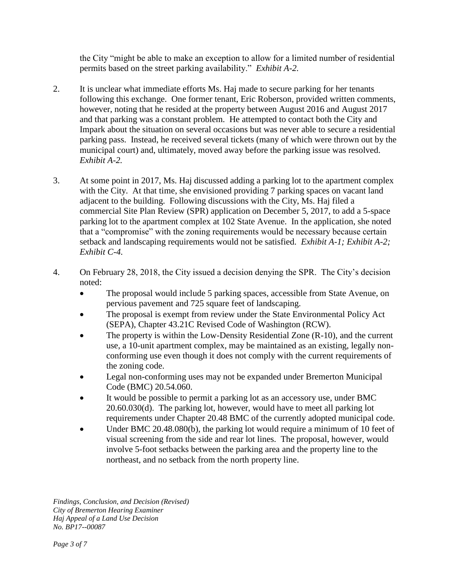the City "might be able to make an exception to allow for a limited number of residential permits based on the street parking availability." *Exhibit A-2.*

- 2. It is unclear what immediate efforts Ms. Haj made to secure parking for her tenants following this exchange. One former tenant, Eric Roberson, provided written comments, however, noting that he resided at the property between August 2016 and August 2017 and that parking was a constant problem. He attempted to contact both the City and Impark about the situation on several occasions but was never able to secure a residential parking pass. Instead, he received several tickets (many of which were thrown out by the municipal court) and, ultimately, moved away before the parking issue was resolved. *Exhibit A-2.*
- 3. At some point in 2017, Ms. Haj discussed adding a parking lot to the apartment complex with the City. At that time, she envisioned providing 7 parking spaces on vacant land adjacent to the building. Following discussions with the City, Ms. Haj filed a commercial Site Plan Review (SPR) application on December 5, 2017, to add a 5-space parking lot to the apartment complex at 102 State Avenue. In the application, she noted that a "compromise" with the zoning requirements would be necessary because certain setback and landscaping requirements would not be satisfied. *Exhibit A-1; Exhibit A-2; Exhibit C-4.*
- 4. On February 28, 2018, the City issued a decision denying the SPR. The City's decision noted:
	- The proposal would include 5 parking spaces, accessible from State Avenue, on pervious pavement and 725 square feet of landscaping.
	- The proposal is exempt from review under the State Environmental Policy Act (SEPA), Chapter 43.21C Revised Code of Washington (RCW).
	- The property is within the Low-Density Residential Zone (R-10), and the current use, a 10-unit apartment complex, may be maintained as an existing, legally nonconforming use even though it does not comply with the current requirements of the zoning code.
	- Legal non-conforming uses may not be expanded under Bremerton Municipal Code (BMC) 20.54.060.
	- It would be possible to permit a parking lot as an accessory use, under BMC 20.60.030(d). The parking lot, however, would have to meet all parking lot requirements under Chapter 20.48 BMC of the currently adopted municipal code.
	- Under BMC 20.48.080(b), the parking lot would require a minimum of 10 feet of visual screening from the side and rear lot lines. The proposal, however, would involve 5-foot setbacks between the parking area and the property line to the northeast, and no setback from the north property line.

*Findings, Conclusion, and Decision (Revised) City of Bremerton Hearing Examiner Haj Appeal of a Land Use Decision No. BP17--00087*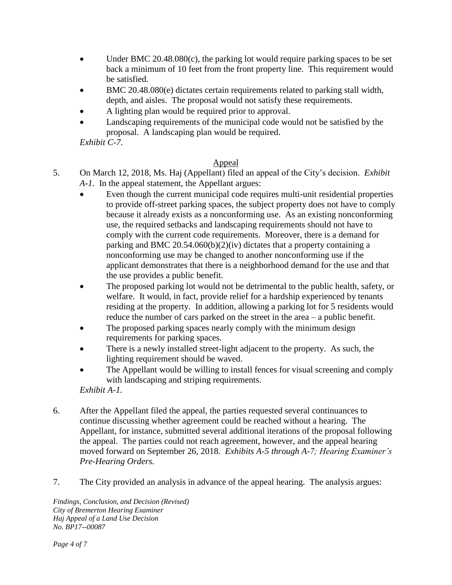- Under BMC 20.48.080(c), the parking lot would require parking spaces to be set back a minimum of 10 feet from the front property line. This requirement would be satisfied.
- BMC 20.48.080(e) dictates certain requirements related to parking stall width, depth, and aisles. The proposal would not satisfy these requirements.
- A lighting plan would be required prior to approval.
- Landscaping requirements of the municipal code would not be satisfied by the proposal. A landscaping plan would be required.

*Exhibit C-7.*

# Appeal

- 5. On March 12, 2018, Ms. Haj (Appellant) filed an appeal of the City's decision. *Exhibit A-1.* In the appeal statement, the Appellant argues:
	- Even though the current municipal code requires multi-unit residential properties to provide off-street parking spaces, the subject property does not have to comply because it already exists as a nonconforming use. As an existing nonconforming use, the required setbacks and landscaping requirements should not have to comply with the current code requirements. Moreover, there is a demand for parking and BMC 20.54.060(b)(2)(iv) dictates that a property containing a nonconforming use may be changed to another nonconforming use if the applicant demonstrates that there is a neighborhood demand for the use and that the use provides a public benefit.
	- The proposed parking lot would not be detrimental to the public health, safety, or welfare. It would, in fact, provide relief for a hardship experienced by tenants residing at the property. In addition, allowing a parking lot for 5 residents would reduce the number of cars parked on the street in the area – a public benefit.
	- The proposed parking spaces nearly comply with the minimum design requirements for parking spaces.
	- There is a newly installed street-light adjacent to the property. As such, the lighting requirement should be waved.
	- The Appellant would be willing to install fences for visual screening and comply with landscaping and striping requirements.

*Exhibit A-1.*

- 6. After the Appellant filed the appeal, the parties requested several continuances to continue discussing whether agreement could be reached without a hearing. The Appellant, for instance, submitted several additional iterations of the proposal following the appeal. The parties could not reach agreement, however, and the appeal hearing moved forward on September 26, 2018. *Exhibits A-5 through A-7; Hearing Examiner's Pre-Hearing Orders.*
- 7. The City provided an analysis in advance of the appeal hearing. The analysis argues:

*Findings, Conclusion, and Decision (Revised) City of Bremerton Hearing Examiner Haj Appeal of a Land Use Decision No. BP17--00087*

*Page 4 of 7*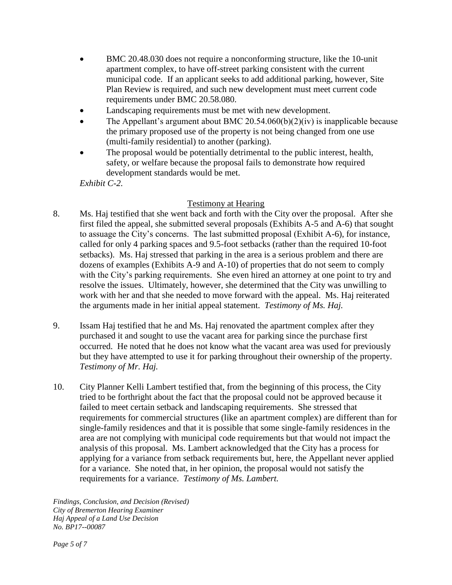- BMC 20.48.030 does not require a nonconforming structure, like the 10-unit apartment complex, to have off-street parking consistent with the current municipal code. If an applicant seeks to add additional parking, however, Site Plan Review is required, and such new development must meet current code requirements under BMC 20.58.080.
- Landscaping requirements must be met with new development.
- The Appellant's argument about BMC 20.54.060(b)(2)(iv) is inapplicable because the primary proposed use of the property is not being changed from one use (multi-family residential) to another (parking).
- The proposal would be potentially detrimental to the public interest, health, safety, or welfare because the proposal fails to demonstrate how required development standards would be met.

*Exhibit C-2.*

# Testimony at Hearing

- 8. Ms. Haj testified that she went back and forth with the City over the proposal. After she first filed the appeal, she submitted several proposals (Exhibits A-5 and A-6) that sought to assuage the City's concerns. The last submitted proposal (Exhibit A-6), for instance, called for only 4 parking spaces and 9.5-foot setbacks (rather than the required 10-foot setbacks). Ms. Haj stressed that parking in the area is a serious problem and there are dozens of examples (Exhibits A-9 and A-10) of properties that do not seem to comply with the City's parking requirements. She even hired an attorney at one point to try and resolve the issues. Ultimately, however, she determined that the City was unwilling to work with her and that she needed to move forward with the appeal. Ms. Haj reiterated the arguments made in her initial appeal statement. *Testimony of Ms. Haj.*
- 9. Issam Haj testified that he and Ms. Haj renovated the apartment complex after they purchased it and sought to use the vacant area for parking since the purchase first occurred. He noted that he does not know what the vacant area was used for previously but they have attempted to use it for parking throughout their ownership of the property. *Testimony of Mr. Haj.*
- 10. City Planner Kelli Lambert testified that, from the beginning of this process, the City tried to be forthright about the fact that the proposal could not be approved because it failed to meet certain setback and landscaping requirements. She stressed that requirements for commercial structures (like an apartment complex) are different than for single-family residences and that it is possible that some single-family residences in the area are not complying with municipal code requirements but that would not impact the analysis of this proposal. Ms. Lambert acknowledged that the City has a process for applying for a variance from setback requirements but, here, the Appellant never applied for a variance. She noted that, in her opinion, the proposal would not satisfy the requirements for a variance. *Testimony of Ms. Lambert.*

*Findings, Conclusion, and Decision (Revised) City of Bremerton Hearing Examiner Haj Appeal of a Land Use Decision No. BP17--00087*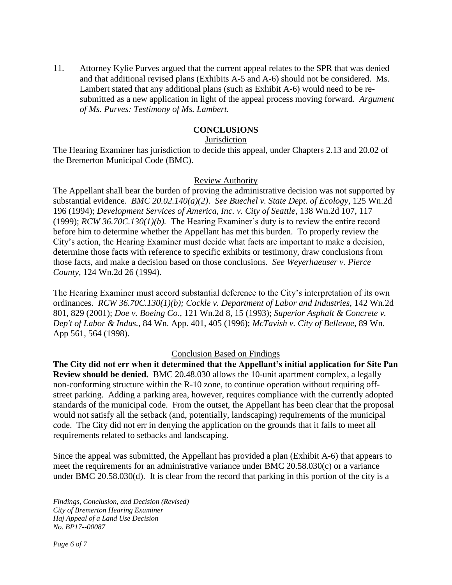11. Attorney Kylie Purves argued that the current appeal relates to the SPR that was denied and that additional revised plans (Exhibits A-5 and A-6) should not be considered. Ms. Lambert stated that any additional plans (such as Exhibit A-6) would need to be resubmitted as a new application in light of the appeal process moving forward. *Argument of Ms. Purves: Testimony of Ms. Lambert.* 

## **CONCLUSIONS**

## **Jurisdiction**

The Hearing Examiner has jurisdiction to decide this appeal, under Chapters 2.13 and 20.02 of the Bremerton Municipal Code (BMC).

#### Review Authority

The Appellant shall bear the burden of proving the administrative decision was not supported by substantial evidence. *BMC 20.02.140(a)(2)*. *See Buechel v. State Dept. of Ecology*, 125 Wn.2d 196 (1994); *Development Services of America, Inc. v. City of Seattle*, 138 Wn.2d 107, 117 (1999); *RCW 36.70C.130(1)(b).* The Hearing Examiner's duty is to review the entire record before him to determine whether the Appellant has met this burden. To properly review the City's action, the Hearing Examiner must decide what facts are important to make a decision, determine those facts with reference to specific exhibits or testimony, draw conclusions from those facts, and make a decision based on those conclusions. *See Weyerhaeuser v. Pierce County,* 124 Wn.2d 26 (1994).

The Hearing Examiner must accord substantial deference to the City's interpretation of its own ordinances. *RCW 36.70C.130(1)(b); Cockle v. Department of Labor and Industries,* 142 Wn.2d 801, 829 (2001); *Doe v. Boeing Co*., 121 Wn.2d 8, 15 (1993); *Superior Asphalt & Concrete v. Dep't of Labor & Indus.*, 84 Wn. App. 401, 405 (1996); *McTavish v. City of Bellevue*, 89 Wn. App 561, 564 (1998).

#### Conclusion Based on Findings

**The City did not err when it determined that the Appellant's initial application for Site Pan Review should be denied.** BMC 20.48.030 allows the 10-unit apartment complex, a legally non-conforming structure within the R-10 zone, to continue operation without requiring offstreet parking. Adding a parking area, however, requires compliance with the currently adopted standards of the municipal code. From the outset, the Appellant has been clear that the proposal would not satisfy all the setback (and, potentially, landscaping) requirements of the municipal code. The City did not err in denying the application on the grounds that it fails to meet all requirements related to setbacks and landscaping.

Since the appeal was submitted, the Appellant has provided a plan (Exhibit A-6) that appears to meet the requirements for an administrative variance under BMC 20.58.030(c) or a variance under BMC 20.58.030(d).It is clear from the record that parking in this portion of the city is a

*Findings, Conclusion, and Decision (Revised) City of Bremerton Hearing Examiner Haj Appeal of a Land Use Decision No. BP17--00087*

*Page 6 of 7*